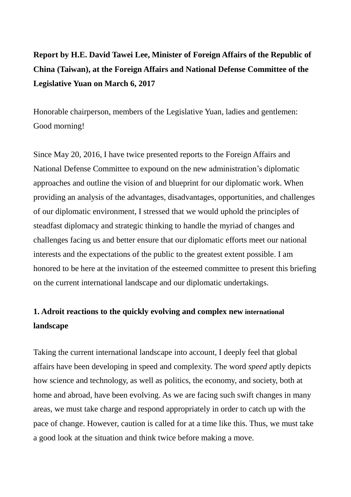# **Report by H.E. David Tawei Lee, Minister of Foreign Affairs of the Republic of China (Taiwan), at the Foreign Affairs and National Defense Committee of the Legislative Yuan on March 6, 2017**

Honorable chairperson, members of the Legislative Yuan, ladies and gentlemen: Good morning!

Since May 20, 2016, I have twice presented reports to the Foreign Affairs and National Defense Committee to expound on the new administration's diplomatic approaches and outline the vision of and blueprint for our diplomatic work. When providing an analysis of the advantages, disadvantages, opportunities, and challenges of our diplomatic environment, I stressed that we would uphold the principles of steadfast diplomacy and strategic thinking to handle the myriad of changes and challenges facing us and better ensure that our diplomatic efforts meet our national interests and the expectations of the public to the greatest extent possible. I am honored to be here at the invitation of the esteemed committee to present this briefing on the current international landscape and our diplomatic undertakings.

## **1. Adroit reactions to the quickly evolving and complex new international landscape**

Taking the current international landscape into account, I deeply feel that global affairs have been developing in speed and complexity. The word *speed* aptly depicts how science and technology, as well as politics, the economy, and society, both at home and abroad, have been evolving. As we are facing such swift changes in many areas, we must take charge and respond appropriately in order to catch up with the pace of change. However, caution is called for at a time like this. Thus, we must take a good look at the situation and think twice before making a move.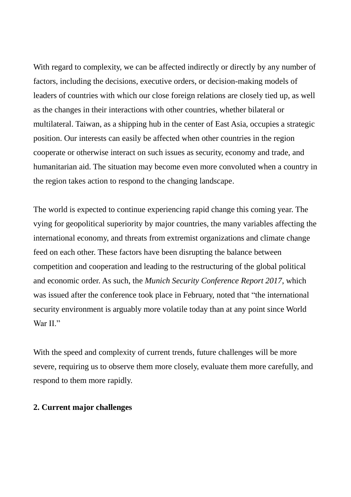With regard to complexity, we can be affected indirectly or directly by any number of factors, including the decisions, executive orders, or decision-making models of leaders of countries with which our close foreign relations are closely tied up, as well as the changes in their interactions with other countries, whether bilateral or multilateral. Taiwan, as a shipping hub in the center of East Asia, occupies a strategic position. Our interests can easily be affected when other countries in the region cooperate or otherwise interact on such issues as security, economy and trade, and humanitarian aid. The situation may become even more convoluted when a country in the region takes action to respond to the changing landscape.

The world is expected to continue experiencing rapid change this coming year. The vying for geopolitical superiority by major countries, the many variables affecting the international economy, and threats from extremist organizations and climate change feed on each other. These factors have been disrupting the balance between competition and cooperation and leading to the restructuring of the global political and economic order. As such, the *Munich Security Conference Report 2017*, which was issued after the conference took place in February, noted that "the international security environment is arguably more volatile today than at any point since World War II<sup>"</sup>

With the speed and complexity of current trends, future challenges will be more severe, requiring us to observe them more closely, evaluate them more carefully, and respond to them more rapidly.

#### **2. Current major challenges**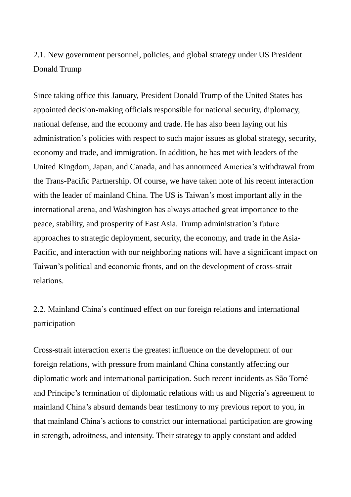### 2.1. New government personnel, policies, and global strategy under US President Donald Trump

Since taking office this January, President Donald Trump of the United States has appointed decision-making officials responsible for national security, diplomacy, national defense, and the economy and trade. He has also been laying out his administration's policies with respect to such major issues as global strategy, security, economy and trade, and immigration. In addition, he has met with leaders of the United Kingdom, Japan, and Canada, and has announced America's withdrawal from the Trans-Pacific Partnership. Of course, we have taken note of his recent interaction with the leader of mainland China. The US is Taiwan's most important ally in the international arena, and Washington has always attached great importance to the peace, stability, and prosperity of East Asia. Trump administration's future approaches to strategic deployment, security, the economy, and trade in the Asia-Pacific, and interaction with our neighboring nations will have a significant impact on Taiwan's political and economic fronts, and on the development of cross-strait relations.

## 2.2. Mainland China's continued effect on our foreign relations and international participation

Cross-strait interaction exerts the greatest influence on the development of our foreign relations, with pressure from mainland China constantly affecting our diplomatic work and international participation. Such recent incidents as São Tomé and Príncipe's termination of diplomatic relations with us and Nigeria's agreement to mainland China's absurd demands bear testimony to my previous report to you, in that mainland China's actions to constrict our international participation are growing in strength, adroitness, and intensity. Their strategy to apply constant and added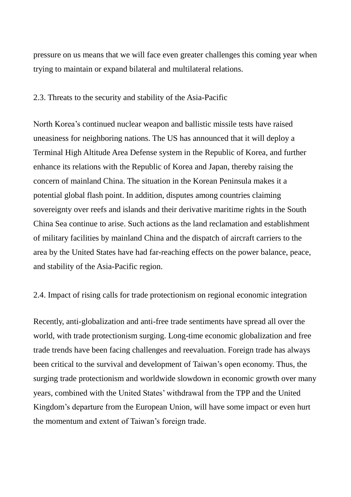pressure on us means that we will face even greater challenges this coming year when trying to maintain or expand bilateral and multilateral relations.

#### 2.3. Threats to the security and stability of the Asia-Pacific

North Korea's continued nuclear weapon and ballistic missile tests have raised uneasiness for neighboring nations. The US has announced that it will deploy a Terminal High Altitude Area Defense system in the Republic of Korea, and further enhance its relations with the Republic of Korea and Japan, thereby raising the concern of mainland China. The situation in the Korean Peninsula makes it a potential global flash point. In addition, disputes among countries claiming sovereignty over reefs and islands and their derivative maritime rights in the South China Sea continue to arise. Such actions as the land reclamation and establishment of military facilities by mainland China and the dispatch of aircraft carriers to the area by the United States have had far-reaching effects on the power balance, peace, and stability of the Asia-Pacific region.

#### 2.4. Impact of rising calls for trade protectionism on regional economic integration

Recently, anti-globalization and anti-free trade sentiments have spread all over the world, with trade protectionism surging. Long-time economic globalization and free trade trends have been facing challenges and reevaluation. Foreign trade has always been critical to the survival and development of Taiwan's open economy. Thus, the surging trade protectionism and worldwide slowdown in economic growth over many years, combined with the United States' withdrawal from the TPP and the United Kingdom's departure from the European Union, will have some impact or even hurt the momentum and extent of Taiwan's foreign trade.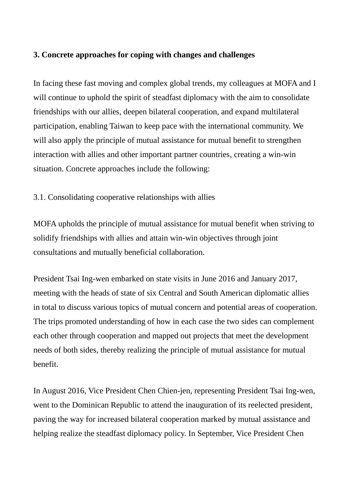#### **3. Concrete approaches for coping with changes and challenges**

In facing these fast moving and complex global trends, my colleagues at MOFA and I will continue to uphold the spirit of steadfast diplomacy with the aim to consolidate friendships with our allies, deepen bilateral cooperation, and expand multilateral participation, enabling Taiwan to keep pace with the international community. We will also apply the principle of mutual assistance for mutual benefit to strengthen interaction with allies and other important partner countries, creating a win-win situation. Concrete approaches include the following:

### 3.1. Consolidating cooperative relationships with allies

MOFA upholds the principle of mutual assistance for mutual benefit when striving to solidify friendships with allies and attain win-win objectives through joint consultations and mutually beneficial collaboration.

President Tsai Ing-wen embarked on state visits in June 2016 and January 2017, meeting with the heads of state of six Central and South American diplomatic allies in total to discuss various topics of mutual concern and potential areas of cooperation. The trips promoted understanding of how in each case the two sides can complement each other through cooperation and mapped out projects that meet the development needs of both sides, thereby realizing the principle of mutual assistance for mutual benefit.

In August 2016, Vice President Chen Chien-jen, representing President Tsai Ing-wen, went to the Dominican Republic to attend the inauguration of its reelected president, paving the way for increased bilateral cooperation marked by mutual assistance and helping realize the steadfast diplomacy policy. In September, Vice President Chen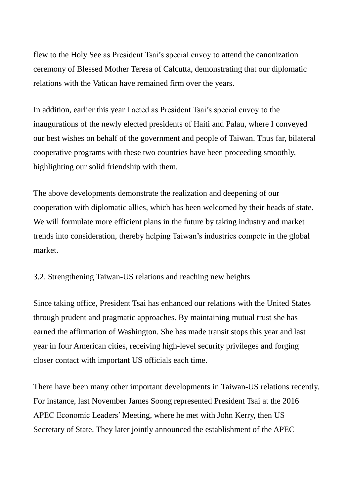flew to the Holy See as President Tsai's special envoy to attend the canonization ceremony of Blessed Mother Teresa of Calcutta, demonstrating that our diplomatic relations with the Vatican have remained firm over the years.

In addition, earlier this year I acted as President Tsai's special envoy to the inaugurations of the newly elected presidents of Haiti and Palau, where I conveyed our best wishes on behalf of the government and people of Taiwan. Thus far, bilateral cooperative programs with these two countries have been proceeding smoothly, highlighting our solid friendship with them.

The above developments demonstrate the realization and deepening of our cooperation with diplomatic allies, which has been welcomed by their heads of state. We will formulate more efficient plans in the future by taking industry and market trends into consideration, thereby helping Taiwan's industries compete in the global market.

3.2. Strengthening Taiwan-US relations and reaching new heights

Since taking office, President Tsai has enhanced our relations with the United States through prudent and pragmatic approaches. By maintaining mutual trust she has earned the affirmation of Washington. She has made transit stops this year and last year in four American cities, receiving high-level security privileges and forging closer contact with important US officials each time.

There have been many other important developments in Taiwan-US relations recently. For instance, last November James Soong represented President Tsai at the 2016 APEC Economic Leaders' Meeting, where he met with John Kerry, then US Secretary of State. They later jointly announced the establishment of the APEC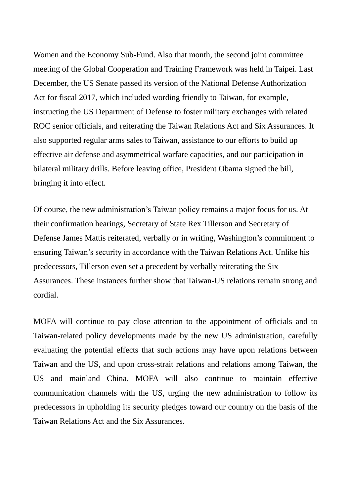Women and the Economy Sub-Fund. Also that month, the second joint committee meeting of the Global Cooperation and Training Framework was held in Taipei. Last December, the US Senate passed its version of the National Defense Authorization Act for fiscal 2017, which included wording friendly to Taiwan, for example, instructing the US Department of Defense to foster military exchanges with related ROC senior officials, and reiterating the Taiwan Relations Act and Six Assurances. It also supported regular arms sales to Taiwan, assistance to our efforts to build up effective air defense and asymmetrical warfare capacities, and our participation in bilateral military drills. Before leaving office, President Obama signed the bill, bringing it into effect.

Of course, the new administration's Taiwan policy remains a major focus for us. At their confirmation hearings, Secretary of State Rex Tillerson and Secretary of Defense James Mattis reiterated, verbally or in writing, Washington's commitment to ensuring Taiwan's security in accordance with the Taiwan Relations Act. Unlike his predecessors, Tillerson even set a precedent by verbally reiterating the Six Assurances. These instances further show that Taiwan-US relations remain strong and cordial.

MOFA will continue to pay close attention to the appointment of officials and to Taiwan-related policy developments made by the new US administration, carefully evaluating the potential effects that such actions may have upon relations between Taiwan and the US, and upon cross-strait relations and relations among Taiwan, the US and mainland China. MOFA will also continue to maintain effective communication channels with the US, urging the new administration to follow its predecessors in upholding its security pledges toward our country on the basis of the Taiwan Relations Act and the Six Assurances.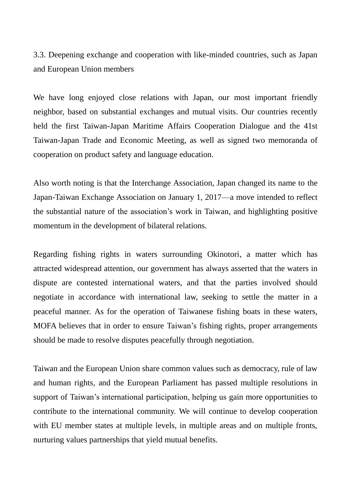3.3. Deepening exchange and cooperation with like-minded countries, such as Japan and European Union members

We have long enjoyed close relations with Japan, our most important friendly neighbor, based on substantial exchanges and mutual visits. Our countries recently held the first Taiwan-Japan Maritime Affairs Cooperation Dialogue and the 41st Taiwan-Japan Trade and Economic Meeting, as well as signed two memoranda of cooperation on product safety and language education.

Also worth noting is that the Interchange Association, Japan changed its name to the Japan-Taiwan Exchange Association on January 1, 2017—a move intended to reflect the substantial nature of the association's work in Taiwan, and highlighting positive momentum in the development of bilateral relations.

Regarding fishing rights in waters surrounding Okinotori, a matter which has attracted widespread attention, our government has always asserted that the waters in dispute are contested international waters, and that the parties involved should negotiate in accordance with international law, seeking to settle the matter in a peaceful manner. As for the operation of Taiwanese fishing boats in these waters, MOFA believes that in order to ensure Taiwan's fishing rights, proper arrangements should be made to resolve disputes peacefully through negotiation.

Taiwan and the European Union share common values such as democracy, rule of law and human rights, and the European Parliament has passed multiple resolutions in support of Taiwan's international participation, helping us gain more opportunities to contribute to the international community. We will continue to develop cooperation with EU member states at multiple levels, in multiple areas and on multiple fronts, nurturing values partnerships that yield mutual benefits.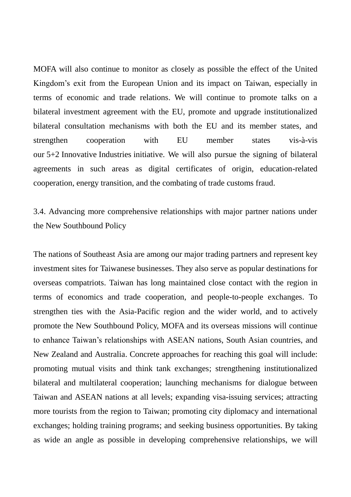MOFA will also continue to monitor as closely as possible the effect of the United Kingdom's exit from the European Union and its impact on Taiwan, especially in terms of economic and trade relations. We will continue to promote talks on a bilateral investment agreement with the EU, promote and upgrade institutionalized bilateral consultation mechanisms with both the EU and its member states, and strengthen cooperation with EU member states vis-à-vis our 5+2 Innovative Industries initiative. We will also pursue the signing of bilateral agreements in such areas as digital certificates of origin, education-related cooperation, energy transition, and the combating of trade customs fraud.

3.4. Advancing more comprehensive relationships with major partner nations under the New Southbound Policy

The nations of Southeast Asia are among our major trading partners and represent key investment sites for Taiwanese businesses. They also serve as popular destinations for overseas compatriots. Taiwan has long maintained close contact with the region in terms of economics and trade cooperation, and people-to-people exchanges. To strengthen ties with the Asia-Pacific region and the wider world, and to actively promote the New Southbound Policy, MOFA and its overseas missions will continue to enhance Taiwan's relationships with ASEAN nations, South Asian countries, and New Zealand and Australia. Concrete approaches for reaching this goal will include: promoting mutual visits and think tank exchanges; strengthening institutionalized bilateral and multilateral cooperation; launching mechanisms for dialogue between Taiwan and ASEAN nations at all levels; expanding visa-issuing services; attracting more tourists from the region to Taiwan; promoting city diplomacy and international exchanges; holding training programs; and seeking business opportunities. By taking as wide an angle as possible in developing comprehensive relationships, we will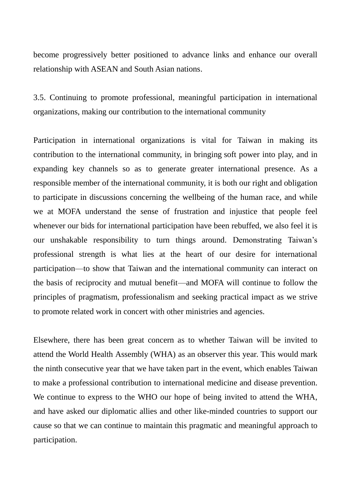become progressively better positioned to advance links and enhance our overall relationship with ASEAN and South Asian nations.

3.5. Continuing to promote professional, meaningful participation in international organizations, making our contribution to the international community

Participation in international organizations is vital for Taiwan in making its contribution to the international community, in bringing soft power into play, and in expanding key channels so as to generate greater international presence. As a responsible member of the international community, it is both our right and obligation to participate in discussions concerning the wellbeing of the human race, and while we at MOFA understand the sense of frustration and injustice that people feel whenever our bids for international participation have been rebuffed, we also feel it is our unshakable responsibility to turn things around. Demonstrating Taiwan's professional strength is what lies at the heart of our desire for international participation—to show that Taiwan and the international community can interact on the basis of reciprocity and mutual benefit—and MOFA will continue to follow the principles of pragmatism, professionalism and seeking practical impact as we strive to promote related work in concert with other ministries and agencies.

Elsewhere, there has been great concern as to whether Taiwan will be invited to attend the World Health Assembly (WHA) as an observer this year. This would mark the ninth consecutive year that we have taken part in the event, which enables Taiwan to make a professional contribution to international medicine and disease prevention. We continue to express to the WHO our hope of being invited to attend the WHA, and have asked our diplomatic allies and other like-minded countries to support our cause so that we can continue to maintain this pragmatic and meaningful approach to participation.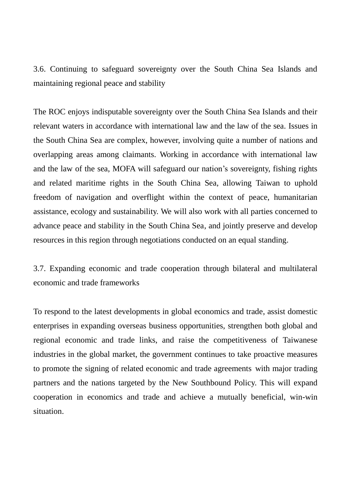3.6. Continuing to safeguard sovereignty over the South China Sea Islands and maintaining regional peace and stability

The ROC enjoys indisputable sovereignty over the South China Sea Islands and their relevant waters in accordance with international law and the law of the sea. Issues in the South China Sea are complex, however, involving quite a number of nations and overlapping areas among claimants. Working in accordance with international law and the law of the sea, MOFA will safeguard our nation's sovereignty, fishing rights and related maritime rights in the South China Sea, allowing Taiwan to uphold freedom of navigation and overflight within the context of peace, humanitarian assistance, ecology and sustainability. We will also work with all parties concerned to advance peace and stability in the South China Sea, and jointly preserve and develop resources in this region through negotiations conducted on an equal standing.

3.7. Expanding economic and trade cooperation through bilateral and multilateral economic and trade frameworks

To respond to the latest developments in global economics and trade, assist domestic enterprises in expanding overseas business opportunities, strengthen both global and regional economic and trade links, and raise the competitiveness of Taiwanese industries in the global market, the government continues to take proactive measures to promote the signing of related economic and trade agreements with major trading partners and the nations targeted by the New Southbound Policy. This will expand cooperation in economics and trade and achieve a mutually beneficial, win-win situation.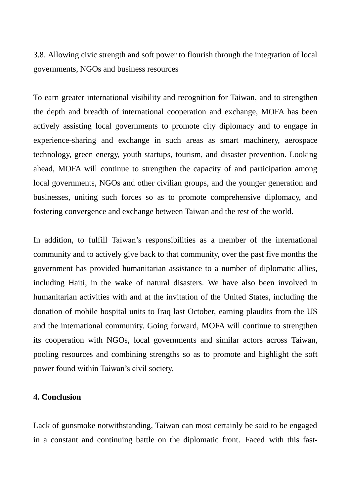3.8. Allowing civic strength and soft power to flourish through the integration of local governments, NGOs and business resources

To earn greater international visibility and recognition for Taiwan, and to strengthen the depth and breadth of international cooperation and exchange, MOFA has been actively assisting local governments to promote city diplomacy and to engage in experience-sharing and exchange in such areas as smart machinery, aerospace technology, green energy, youth startups, tourism, and disaster prevention. Looking ahead, MOFA will continue to strengthen the capacity of and participation among local governments, NGOs and other civilian groups, and the younger generation and businesses, uniting such forces so as to promote comprehensive diplomacy, and fostering convergence and exchange between Taiwan and the rest of the world.

In addition, to fulfill Taiwan's responsibilities as a member of the international community and to actively give back to that community, over the past five months the government has provided humanitarian assistance to a number of diplomatic allies, including Haiti, in the wake of natural disasters. We have also been involved in humanitarian activities with and at the invitation of the United States, including the donation of mobile hospital units to Iraq last October, earning plaudits from the US and the international community. Going forward, MOFA will continue to strengthen its cooperation with NGOs, local governments and similar actors across Taiwan, pooling resources and combining strengths so as to promote and highlight the soft power found within Taiwan's civil society.

#### **4. Conclusion**

Lack of gunsmoke notwithstanding, Taiwan can most certainly be said to be engaged in a constant and continuing battle on the diplomatic front. Faced with this fast